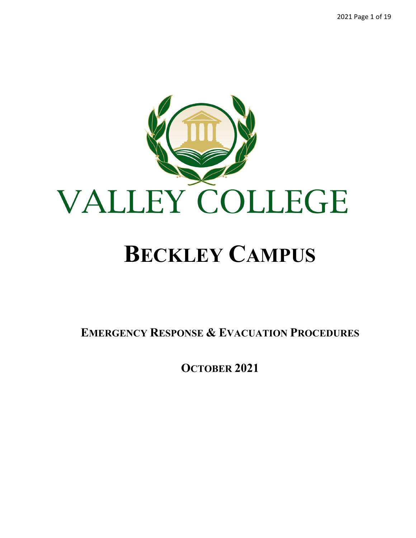2021 Page 1 of 19



# **BECKLEY CAMPUS**

**EMERGENCY RESPONSE & EVACUATION PROCEDURES**

**OCTOBER 2021**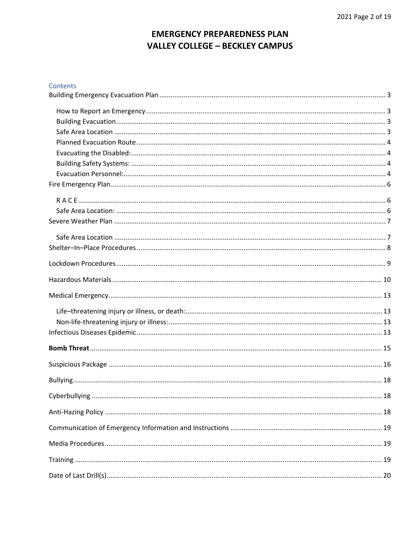# **EMERGENCY PREPAREDNESS PLAN VALLEY COLLEGE - BECKLEY CAMPUS**

#### Contents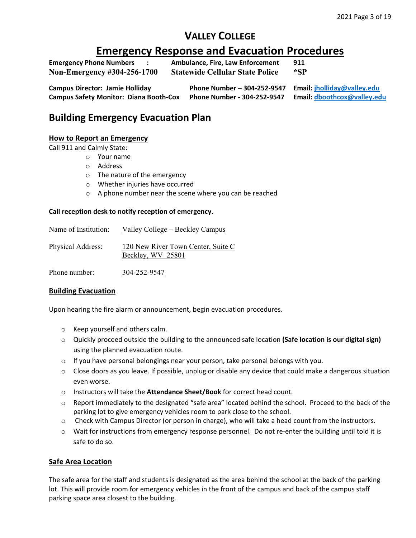# **VALLEY COLLEGE**

# **Emergency Response and Evacuation Procedures**

| <b>Emergency Phone Numbers</b><br>$\sim$ 1.000 $\sim$<br><b>Non-Emergency #304-256-1700</b> | <b>Ambulance, Fire, Law Enforcement</b><br><b>Statewide Cellular State Police</b> | 911<br>*SP                  |
|---------------------------------------------------------------------------------------------|-----------------------------------------------------------------------------------|-----------------------------|
| <b>Campus Director: Jamie Holliday</b>                                                      | Phone Number - 304-252-9547 Email: jholliday@valley.edu                           |                             |
| <b>Campus Safety Monitor: Diana Booth-Cox</b>                                               | Phone Number - 304-252-9547                                                       | Email: dboothcox@valley.edu |

# <span id="page-2-0"></span>**Building Emergency Evacuation Plan**

#### <span id="page-2-1"></span>**How to Report an Emergency**

Call 911 and Calmly State:

- o Your name
- o Address
- o The nature of the emergency
- o Whether injuries have occurred
- o A phone number near the scene where you can be reached

#### **Call reception desk to notify reception of emergency.**

| Name of Institution: | Valley College – Beckley Campus                         |
|----------------------|---------------------------------------------------------|
| Physical Address:    | 120 New River Town Center, Suite C<br>Beckley, WV 25801 |
| Phone number:        | 304-252-9547                                            |

#### <span id="page-2-2"></span>**Building Evacuation**

Upon hearing the fire alarm or announcement, begin evacuation procedures.

- o Keep yourself and others calm.
- o Quickly proceed outside the building to the announced safe location **(Safe location is our digital sign)** using the planned evacuation route.
- $\circ$  If you have personal belongings near your person, take personal belongs with you.
- $\circ$  Close doors as you leave. If possible, unplug or disable any device that could make a dangerous situation even worse.
- o Instructors will take the **Attendance Sheet/Book** for correct head count.
- o Report immediately to the designated "safe area" located behind the school. Proceed to the back of the parking lot to give emergency vehicles room to park close to the school.
- o Check with Campus Director (or person in charge), who will take a head count from the instructors.
- o Wait for instructions from emergency response personnel. Do not re-enter the building until told it is safe to do so.

#### <span id="page-2-3"></span>**Safe Area Location**

The safe area for the staff and students is designated as the area behind the school at the back of the parking lot. This will provide room for emergency vehicles in the front of the campus and back of the campus staff parking space area closest to the building.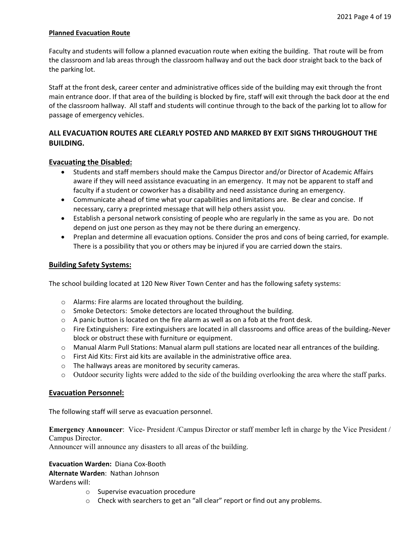#### <span id="page-3-0"></span>**Planned Evacuation Route**

Faculty and students will follow a planned evacuation route when exiting the building. That route will be from the classroom and lab areas through the classroom hallway and out the back door straight back to the back of the parking lot.

Staff at the front desk, career center and administrative offices side of the building may exit through the front main entrance door. If that area of the building is blocked by fire, staff will exit through the back door at the end of the classroom hallway. All staff and students will continue through to the back of the parking lot to allow for passage of emergency vehicles.

## **ALL EVACUATION ROUTES ARE CLEARLY POSTED AND MARKED BY EXIT SIGNS THROUGHOUT THE BUILDING.**

#### <span id="page-3-1"></span>**Evacuating the Disabled:**

- Students and staff members should make the Campus Director and/or Director of Academic Affairs aware if they will need assistance evacuating in an emergency. It may not be apparent to staff and faculty if a student or coworker has a disability and need assistance during an emergency.
- Communicate ahead of time what your capabilities and limitations are. Be clear and concise. If necessary, carry a preprinted message that will help others assist you.
- Establish a personal network consisting of people who are regularly in the same as you are. Do not depend on just one person as they may not be there during an emergency.
- Preplan and determine all evacuation options. Consider the pros and cons of being carried, for example. There is a possibility that you or others may be injured if you are carried down the stairs.

#### <span id="page-3-2"></span>**Building Safety Systems:**

The school building located at 120 New River Town Center and has the following safety systems:

- o Alarms: Fire alarms are located throughout the building.
- o Smoke Detectors: Smoke detectors are located throughout the building.
- $\circ$  A panic button is located on the fire alarm as well as on a fob at the front desk.
- $\circ$  Fire Extinguishers: Fire extinguishers are located in all classrooms and office areas of the building. Never block or obstruct these with furniture or equipment.
- o Manual Alarm Pull Stations: Manual alarm pull stations are located near all entrances of the building.
- o First Aid Kits: First aid kits are available in the administrative office area.
- o The hallways areas are monitored by security cameras.
- o Outdoor security lights were added to the side of the building overlooking the area where the staff parks.

#### <span id="page-3-3"></span>**Evacuation Personnel:**

The following staff will serve as evacuation personnel.

**Emergency Announcer**: Vice- President /Campus Director or staff member left in charge by the Vice President / Campus Director.

Announcer will announce any disasters to all areas of the building.

#### **Evacuation Warden:** Diana Cox-Booth

#### **Alternate Warden**: Nathan Johnson

Wardens will:

- o Supervise evacuation procedure
- o Check with searchers to get an "all clear" report or find out any problems.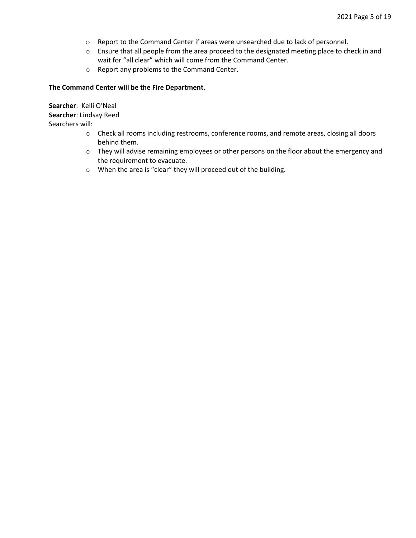- o Report to the Command Center if areas were unsearched due to lack of personnel.
- o Ensure that all people from the area proceed to the designated meeting place to check in and wait for "all clear" which will come from the Command Center.
- o Report any problems to the Command Center.

#### **The Command Center will be the Fire Department**.

**Searcher**: Kelli O'Neal **Searcher**: Lindsay Reed

Searchers will:

- o Check all rooms including restrooms, conference rooms, and remote areas, closing all doors behind them.
- o They will advise remaining employees or other persons on the floor about the emergency and the requirement to evacuate.
- o When the area is "clear" they will proceed out of the building.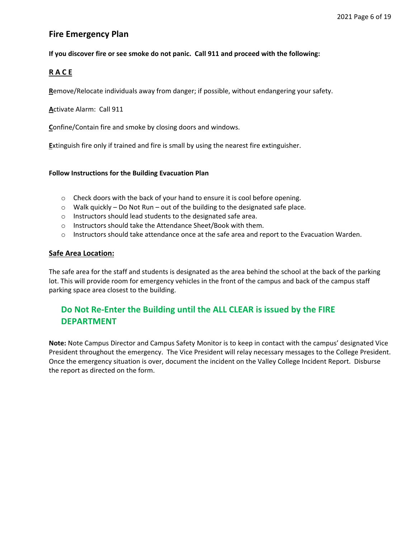# <span id="page-5-0"></span>**Fire Emergency Plan**

#### **If you discover fire or see smoke do not panic. Call 911 and proceed with the following:**

# <span id="page-5-1"></span>**R A C E**

**R**emove/Relocate individuals away from danger; if possible, without endangering your safety.

**A**ctivate Alarm: Call 911

**C**onfine/Contain fire and smoke by closing doors and windows.

**E**xtinguish fire only if trained and fire is small by using the nearest fire extinguisher.

#### **Follow Instructions for the Building Evacuation Plan**

- o Check doors with the back of your hand to ensure it is cool before opening.
- $\circ$  Walk quickly Do Not Run out of the building to the designated safe place.
- o Instructors should lead students to the designated safe area.
- o Instructors should take the Attendance Sheet/Book with them.
- $\circ$  Instructors should take attendance once at the safe area and report to the Evacuation Warden.

#### <span id="page-5-2"></span>**Safe Area Location:**

The safe area for the staff and students is designated as the area behind the school at the back of the parking lot. This will provide room for emergency vehicles in the front of the campus and back of the campus staff parking space area closest to the building.

# **Do Not Re-Enter the Building until the ALL CLEAR is issued by the FIRE DEPARTMENT**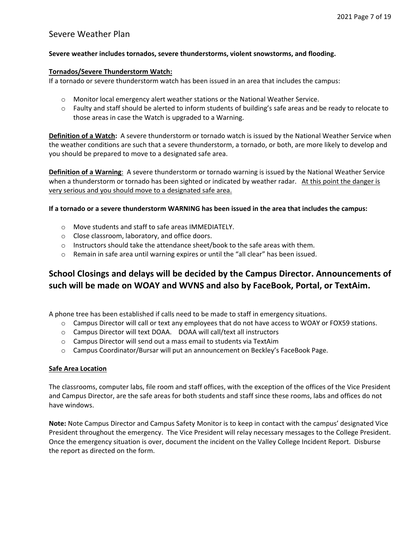## <span id="page-6-0"></span>Severe Weather Plan

#### **Severe weather includes tornados, severe thunderstorms, violent snowstorms, and flooding.**

#### **Tornados/Severe Thunderstorm Watch:**

If a tornado or severe thunderstorm watch has been issued in an area that includes the campus:

- $\circ$  Monitor local emergency alert weather stations or the National Weather Service.
- $\circ$  Faulty and staff should be alerted to inform students of building's safe areas and be ready to relocate to those areas in case the Watch is upgraded to a Warning.

**Definition of a Watch:** A severe thunderstorm or tornado watch is issued by the National Weather Service when the weather conditions are such that a severe thunderstorm, a tornado, or both, are more likely to develop and you should be prepared to move to a designated safe area.

**Definition of a Warning**: A severe thunderstorm or tornado warning is issued by the National Weather Service when a thunderstorm or tornado has been sighted or indicated by weather radar. At this point the danger is very serious and you should move to a designated safe area.

#### **If a tornado or a severe thunderstorm WARNING has been issued in the area that includes the campus:**

- o Move students and staff to safe areas IMMEDIATELY.
- o Close classroom, laboratory, and office doors.
- $\circ$  Instructors should take the attendance sheet/book to the safe areas with them.
- o Remain in safe area until warning expires or until the "all clear" has been issued.

# **School Closings and delays will be decided by the Campus Director. Announcements of such will be made on WOAY and WVNS and also by FaceBook, Portal, or TextAim.**

A phone tree has been established if calls need to be made to staff in emergency situations.

- o Campus Director will call or text any employees that do not have access to WOAY or FOX59 stations.
- o Campus Director will text DOAA. DOAA will call/text all instructors
- o Campus Director will send out a mass email to students via TextAim
- o Campus Coordinator/Bursar will put an announcement on Beckley's FaceBook Page.

#### <span id="page-6-1"></span>**Safe Area Location**

The classrooms, computer labs, file room and staff offices, with the exception of the offices of the Vice President and Campus Director, are the safe areas for both students and staff since these rooms, labs and offices do not have windows.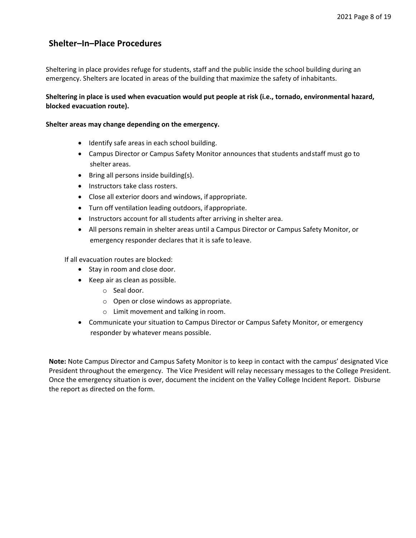# <span id="page-7-0"></span>**Shelter–In–Place Procedures**

Sheltering in place provides refuge for students, staff and the public inside the school building during an emergency. Shelters are located in areas of the building that maximize the safety of inhabitants.

#### **Sheltering in place is used when evacuation would put people at risk (i.e., tornado, environmental hazard, blocked evacuation route).**

#### **Shelter areas may change depending on the emergency.**

- Identify safe areas in each school building.
- Campus Director or Campus Safety Monitor announces that students andstaff must go to shelter areas.
- Bring all persons inside building(s).
- Instructors take class rosters.
- Close all exterior doors and windows, if appropriate.
- Turn off ventilation leading outdoors, ifappropriate.
- Instructors account for all students after arriving in shelter area.
- All persons remain in shelter areas until a Campus Director or Campus Safety Monitor, or emergency responder declares that it is safe to leave.

If all evacuation routes are blocked:

- Stay in room and close door.
- Keep air as clean as possible.
	- o Seal door.
	- o Open or close windows as appropriate.
	- o Limit movement and talking in room.
- Communicate your situation to Campus Director or Campus Safety Monitor, or emergency responder by whatever means possible.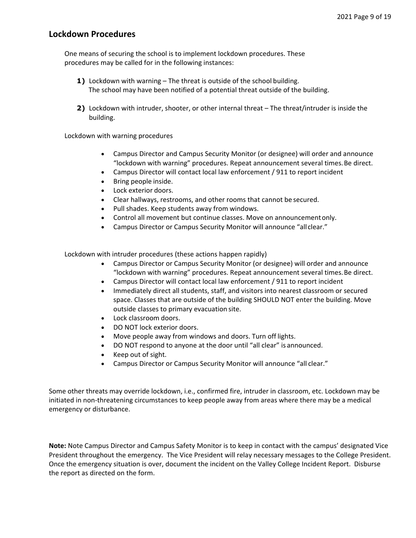## <span id="page-8-0"></span>**Lockdown Procedures**

One means of securing the school is to implement lockdown procedures. These procedures may be called for in the following instances:

- **1)** Lockdown with warning The threat is outside of the school building. The school may have been notified of a potential threat outside of the building.
- **2)** Lockdown with intruder, shooter, or other internal threat The threat/intruder is inside the building.

Lockdown with warning procedures

- Campus Director and Campus Security Monitor (or designee) will order and announce "lockdown with warning" procedures. Repeat announcement several times.Be direct.
- Campus Director will contact local law enforcement / 911 to report incident
- Bring people inside.
- Lock exterior doors.
- Clear hallways, restrooms, and other rooms that cannot be secured.
- Pull shades. Keep students away from windows.
- Control all movement but continue classes. Move on announcementonly.
- Campus Director or Campus Security Monitor will announce "all clear."

Lockdown with intruder procedures (these actions happen rapidly)

- Campus Director or Campus Security Monitor (or designee) will order and announce "lockdown with warning" procedures. Repeat announcement several times.Be direct.
- Campus Director will contact local law enforcement / 911 to report incident
- Immediately direct all students, staff, and visitors into nearest classroom or secured space. Classes that are outside of the building SHOULD NOT enter the building. Move outside classes to primary evacuation site.
- Lock classroom doors.
- DO NOT lock exterior doors.
- Move people away from windows and doors. Turn off lights.
- DO NOT respond to anyone at the door until "all clear" is announced.
- Keep out of sight.
- Campus Director or Campus Security Monitor will announce "all clear."

Some other threats may override lockdown, i.e., confirmed fire, intruder in classroom, etc. Lockdown may be initiated in non-threatening circumstances to keep people away from areas where there may be a medical emergency or disturbance.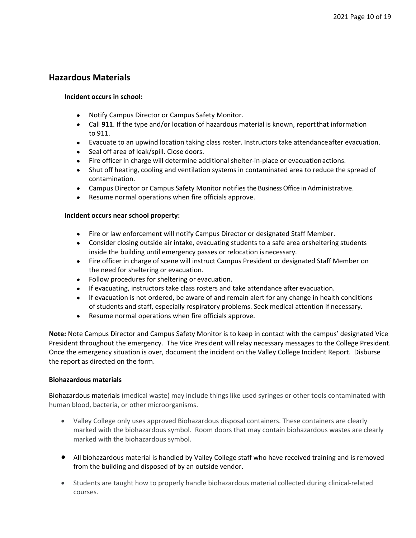# <span id="page-9-0"></span>**Hazardous Materials**

#### **Incident occurs in school:**

- Notify Campus Director or Campus Safety Monitor.
- Call **911**. If the type and/or location of hazardous material is known, reportthat information to 911.
- Evacuate to an upwind location taking class roster. Instructors take attendanceafter evacuation.
- Seal off area of leak/spill. Close doors.
- Fire officer in charge will determine additional shelter-in-place or evacuationactions.
- Shut off heating, cooling and ventilation systems in contaminated area to reduce the spread of contamination.
- Campus Director or Campus Safety Monitor notifies the Business Office in Administrative.
- Resume normal operations when fire officials approve.

#### **Incident occurs near school property:**

- Fire or law enforcement will notify Campus Director or designated Staff Member.
- Consider closing outside air intake, evacuating students to a safe area orsheltering students inside the building until emergency passes or relocation isnecessary.
- Fire officer in charge of scene will instruct Campus President or designated Staff Member on the need for sheltering or evacuation.
- Follow procedures for sheltering or evacuation.
- If evacuating, instructors take class rosters and take attendance after evacuation.
- If evacuation is not ordered, be aware of and remain alert for any change in health conditions of students and staff, especially respiratory problems. Seek medical attention if necessary.
- Resume normal operations when fire officials approve.

**Note:** Note Campus Director and Campus Safety Monitor is to keep in contact with the campus' designated Vice President throughout the emergency. The Vice President will relay necessary messages to the College President. Once the emergency situation is over, document the incident on the Valley College Incident Report. Disburse the report as directed on the form.

#### **Biohazardous materials**

Biohazardous materials (medical waste) may include things like used syringes or other tools contaminated with human blood, bacteria, or other microorganisms.

- Valley College only uses approved Biohazardous disposal containers. These containers are clearly marked with the biohazardous symbol. Room doors that may contain biohazardous wastes are clearly marked with the biohazardous symbol.
- All biohazardous material is handled by Valley College staff who have received training and is removed from the building and disposed of by an outside vendor.
- Students are taught how to properly handle biohazardous material collected during clinical-related courses.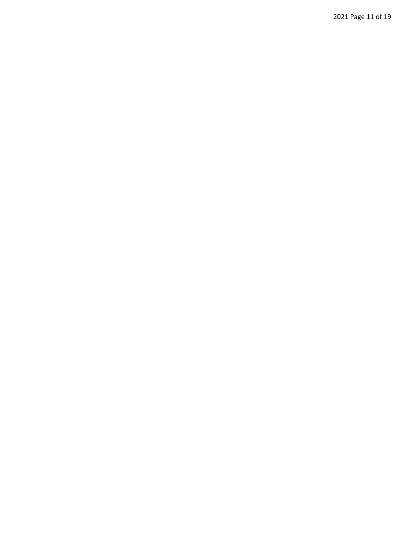Page 11 of 19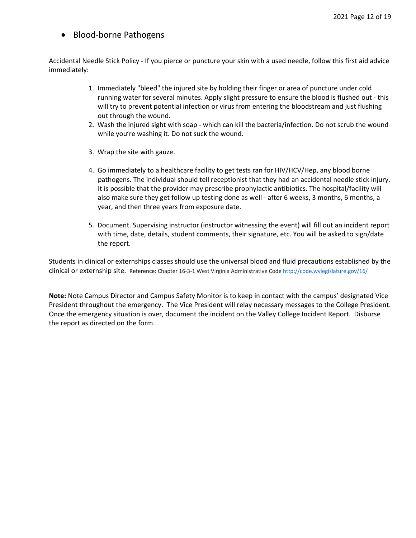# • Blood-borne Pathogens

Accidental Needle Stick Policy - If you pierce or puncture your skin with a used needle, follow this first aid advice immediately:

- 1. Immediately "bleed" the injured site by holding their finger or area of puncture under cold running water for several minutes. Apply slight pressure to ensure the blood is flushed out - this will try to prevent potential infection or virus from entering the bloodstream and just flushing out through the wound.
- 2. Wash the injured sight with soap which can kill the bacteria/infection. Do not scrub the wound while you're washing it. Do not suck the wound.
- 3. Wrap the site with gauze.
- 4. Go immediately to a healthcare facility to get tests ran for HIV/HCV/Hep, any blood borne pathogens. The individual should tell receptionist that they had an accidental needle stick injury. It is possible that the provider may prescribe prophylactic antibiotics. The hospital/facility will also make sure they get follow up testing done as well - after 6 weeks, 3 months, 6 months, a year, and then three years from exposure date.
- 5. Document. Supervising instructor (instructor witnessing the event) will fill out an incident report with time, date, details, student comments, their signature, etc. You will be asked to sign/date the report.

Students in clinical or externships classes should use the universal blood and fluid precautions established by the clinical or externship site. Reference: Chapter 16-3-1 West Virginia Administrative Code <http://code.wvlegislature.gov/16/>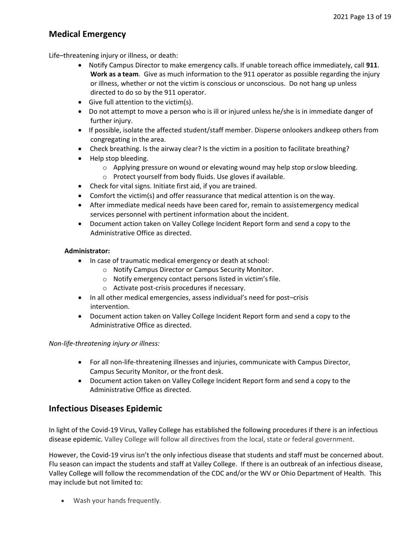# <span id="page-12-0"></span>**Medical Emergency**

<span id="page-12-1"></span>Life–threatening injury or illness, or death:

- Notify Campus Director to make emergency calls. If unable toreach office immediately, call **911**. **Work as a team**. Give as much information to the 911 operator as possible regarding the injury or illness, whether or not the victim is conscious or unconscious. Do not hang up unless directed to do so by the 911 operator.
- Give full attention to the victim(s).
- Do not attempt to move a person who is ill or injured unless he/she is in immediate danger of further injury.
- If possible, isolate the affected student/staff member. Disperse onlookers andkeep others from congregating in the area.
- Check breathing. Is the airway clear? Is the victim in a position to facilitate breathing?
- Help stop bleeding.
	- o Applying pressure on wound or elevating wound may help stop orslow bleeding.
	- o Protect yourself from body fluids. Use gloves if available.
- Check for vital signs. Initiate first aid, if you are trained.
- Comfort the victim(s) and offer reassurance that medical attention is on theway.
- After immediate medical needs have been cared for, remain to assistemergency medical services personnel with pertinent information about the incident.
- Document action taken on Valley College Incident Report form and send a copy to the Administrative Office as directed.

#### **Administrator:**

- In case of traumatic medical emergency or death at school:
	- o Notify Campus Director or Campus Security Monitor.
	- $\circ$  Notify emergency contact persons listed in victim's file.
	- o Activate post-crisis procedures if necessary.
- In all other medical emergencies, assess individual's need for post–crisis intervention.
- Document action taken on Valley College Incident Report form and send a copy to the Administrative Office as directed.

#### <span id="page-12-2"></span>*Non-life-threatening injury or illness:*

- For all non-life-threatening illnesses and injuries, communicate with Campus Director, Campus Security Monitor, or the front desk.
- Document action taken on Valley College Incident Report form and send a copy to the Administrative Office as directed.

## <span id="page-12-3"></span>**Infectious Diseases Epidemic**

In light of the Covid-19 Virus, Valley College has established the following procedures if there is an infectious disease epidemic. Valley College will follow all directives from the local, state or federal government.

However, the Covid-19 virus isn't the only infectious disease that students and staff must be concerned about. Flu season can impact the students and staff at Valley College. If there is an outbreak of an infectious disease, Valley College will follow the recommendation of the CDC and/or the WV or Ohio Department of Health. This may include but not limited to:

• Wash your hands frequently.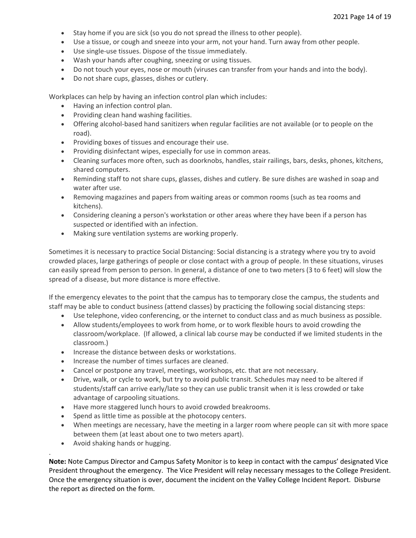- Stay home if you are sick (so you do not spread the illness to other people).
- Use a tissue, or cough and sneeze into your arm, not your hand. Turn away from other people.
- Use single-use tissues. Dispose of the tissue immediately.
- Wash your hands after coughing, sneezing or using tissues.
- Do not touch your eyes, nose or mouth (viruses can transfer from your hands and into the body).
- Do not share cups, glasses, dishes or cutlery.

Workplaces can help by having an infection control plan which includes:

- Having an infection control plan.
- Providing clean hand washing facilities.
- Offering alcohol-based hand sanitizers when regular facilities are not available (or to people on the road).
- Providing boxes of tissues and encourage their use.
- Providing disinfectant wipes, especially for use in common areas.
- Cleaning surfaces more often, such as doorknobs, handles, stair railings, bars, desks, phones, kitchens, shared computers.
- Reminding staff to not share cups, glasses, dishes and cutlery. Be sure dishes are washed in soap and water after use.
- Removing magazines and papers from waiting areas or common rooms (such as tea rooms and kitchens).
- Considering cleaning a person's workstation or other areas where they have been if a person has suspected or identified with an infection.
- Making sure ventilation systems are working properly.

Sometimes it is necessary to practice Social Distancing: Social distancing is a strategy where you try to avoid crowded places, large gatherings of people or close contact with a group of people. In these situations, viruses can easily spread from person to person. In general, a distance of one to two meters (3 to 6 feet) will slow the spread of a disease, but more distance is more effective.

If the emergency elevates to the point that the campus has to temporary close the campus, the students and staff may be able to conduct business (attend classes) by practicing the following social distancing steps:

- Use telephone, video conferencing, or the internet to conduct class and as much business as possible.
- Allow students/employees to work from home, or to work flexible hours to avoid crowding the classroom/workplace. (If allowed, a clinical lab course may be conducted if we limited students in the classroom.)
- Increase the distance between desks or workstations.
- Increase the number of times surfaces are cleaned.
- Cancel or postpone any travel, meetings, workshops, etc. that are not necessary.
- Drive, walk, or cycle to work, but try to avoid public transit. Schedules may need to be altered if students/staff can arrive early/late so they can use public transit when it is less crowded or take advantage of carpooling situations.
- Have more staggered lunch hours to avoid crowded breakrooms.
- Spend as little time as possible at the photocopy centers.
- When meetings are necessary, have the meeting in a larger room where people can sit with more space between them (at least about one to two meters apart).
- Avoid shaking hands or hugging.

.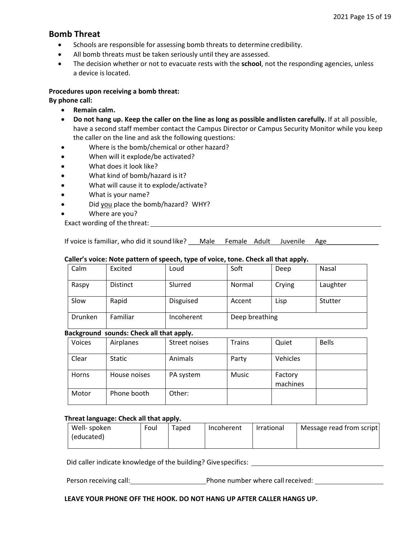## <span id="page-14-0"></span>**Bomb Threat**

- Schools are responsible for assessing bomb threats to determine credibility.
- All bomb threats must be taken seriously until they are assessed.
- The decision whether or not to evacuate rests with the **school**, not the responding agencies, unless a device islocated.

#### **Procedures upon receiving a bomb threat:**

**By phone call:**

- **Remain calm.**
- **Do not hang up. Keep the caller on the line as long as possible andlisten carefully.** If at all possible, have a second staff member contact the Campus Director or Campus Security Monitor while you keep the caller on the line and ask the following questions:
- Where is the bomb/chemical or other hazard?
- When will it explode/be activated?
- What does it look like?
- What kind of bomb/hazard is it?
- What will cause it to explode/activate?
- What is your name?
- Did you place the bomb/hazard? WHY?
- Where are you?

Exact wording of the threat:

If voice is familiar, who did it sound like? \_\_\_Male Female Adult Juvenile Age\_\_\_\_\_\_\_\_\_

#### **Caller's voice: Note pattern of speech, type of voice, tone. Check all that apply.**

| Calm    | Excited         | Loud             | Soft           | Deep   | Nasal    |
|---------|-----------------|------------------|----------------|--------|----------|
| Raspy   | <b>Distinct</b> | Slurred          | Normal         | Crying | Laughter |
| Slow    | Rapid           | <b>Disguised</b> | Accent         | Lisp   | Stutter  |
| Drunken | Familiar        | Incoherent       | Deep breathing |        |          |

#### **Background sounds: Check all that apply.**

| <b>Voices</b> | Airplanes     | Street noises | <b>Trains</b> | Quiet               | <b>Bells</b> |
|---------------|---------------|---------------|---------------|---------------------|--------------|
| Clear         | <b>Static</b> | Animals       | Party         | Vehicles            |              |
| Horns         | House noises  | PA system     | <b>Music</b>  | Factory<br>machines |              |
| Motor         | Phone booth   | Other:        |               |                     |              |

#### **Threat language: Check all that apply.**

| Well- spoken | Foul | Taped | Incoherent | Irrational | Message read from script |
|--------------|------|-------|------------|------------|--------------------------|
| (educated)   |      |       |            |            |                          |
|              |      |       |            |            |                          |

Did caller indicate knowledge of the building? Givespecifics:

Person receiving call: Phone number where call received:

#### **LEAVE YOUR PHONE OFF THE HOOK. DO NOT HANG UP AFTER CALLER HANGS UP.**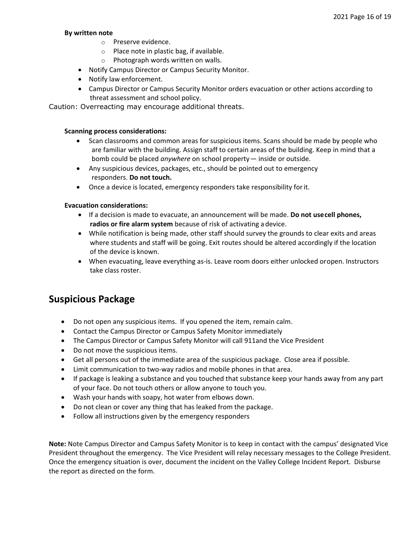#### **By written note**

- o Preserve evidence.
- o Place note in plastic bag, if available.
- o Photograph words written on walls.
- Notify Campus Director or Campus Security Monitor.
- Notify law enforcement.
- Campus Director or Campus Security Monitor orders evacuation or other actions according to threat assessment and school policy.

Caution: Overreacting may encourage additional threats.

#### **Scanning process considerations:**

- Scan classrooms and common areas for suspicious items. Scans should be made by people who are familiar with the building. Assign staff to certain areas of the building. Keep in mind that a bomb could be placed *anywhere* on school property— inside or outside.
- Any suspicious devices, packages, etc., should be pointed out to emergency responders. **Do not touch.**
- Once a device is located, emergency responders take responsibility forit.

#### **Evacuation considerations:**

- If a decision is made to evacuate, an announcement will be made. **Do not usecell phones, radios or fire alarm system** because of risk of activating a device.
- While notification is being made, other staff should survey the grounds to clear exits and areas where students and staff will be going. Exit routes should be altered accordingly if the location of the device is known.
- When evacuating, leave everything as-is. Leave room doors either unlocked oropen. Instructors take class roster.

# <span id="page-15-0"></span>**Suspicious Package**

- Do not open any suspicious items. If you opened the item, remain calm.
- Contact the Campus Director or Campus Safety Monitor immediately
- The Campus Director or Campus Safety Monitor will call 911and the Vice President
- Do not move the suspicious items.
- Get all persons out of the immediate area of the suspicious package. Close area if possible.
- Limit communication to two-way radios and mobile phones in that area.
- If package is leaking a substance and you touched that substance keep your hands away from any part of your face. Do not touch others or allow anyone to touch you.
- Wash your hands with soapy, hot water from elbows down.
- Do not clean or cover any thing that has leaked from the package.
- Follow all instructions given by the emergency responders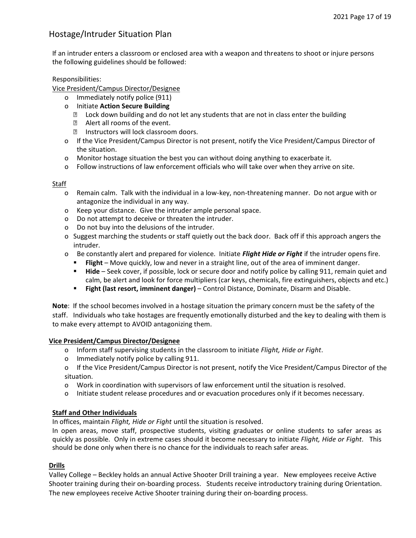# Hostage/Intruder Situation Plan

If an intruder enters a classroom or enclosed area with a weapon and threatens to shoot or injure persons the following guidelines should be followed:

#### Responsibilities:

Vice President/Campus Director/Designee

- o Immediately notify police (911)
- o Initiate **Action Secure Building**
	- **Z** Lock down building and do not let any students that are not in class enter the building
	- **Z** Alert all rooms of the event.
	- **Z** Instructors will lock classroom doors.
- o If the Vice President/Campus Director is not present, notify the Vice President/Campus Director of the situation.
- o Monitor hostage situation the best you can without doing anything to exacerbate it.
- o Follow instructions of law enforcement officials who will take over when they arrive on site.

#### Staff

- o Remain calm. Talk with the individual in a low-key, non-threatening manner. Do not argue with or antagonize the individual in any way.
- o Keep your distance. Give the intruder ample personal space.
- o Do not attempt to deceive or threaten the intruder.
- o Do not buy into the delusions of the intruder.
- o Suggest marching the students or staff quietly out the back door. Back off if this approach angers the intruder.
- o Be constantly alert and prepared for violence. Initiate *Flight Hide or Fight* if the intruder opens fire.
	- **Fiight** Move quickly, low and never in a straight line, out of the area of imminent danger.
	- **Hide** Seek cover, if possible, lock or secure door and notify police by calling 911, remain quiet and calm, be alert and look for force multipliers (car keys, chemicals, fire extinguishers, objects and etc.)
	- **Fight (last resort, imminent danger)** Control Distance, Dominate, Disarm and Disable.

**Note**: If the school becomes involved in a hostage situation the primary concern must be the safety of the staff. Individuals who take hostages are frequently emotionally disturbed and the key to dealing with them is to make every attempt to AVOID antagonizing them.

#### **Vice President/Campus Director/Designee**

- o Inform staff supervising students in the classroom to initiate *Flight, Hide or Fight*.
- o Immediately notify police by calling 911.
- o If the Vice President/Campus Director is not present, notify the Vice President/Campus Director of the situation.
- o Work in coordination with supervisors of law enforcement until the situation is resolved.
- o Initiate student release procedures and or evacuation procedures only if it becomes necessary.

### **Staff and Other Individuals**

In offices, maintain *Flight, Hide or Fight* until the situation is resolved.

In open areas, move staff, prospective students, visiting graduates or online students to safer areas as quickly as possible. Only in extreme cases should it become necessary to initiate *Flight, Hide or Fight*. This should be done only when there is no chance for the individuals to reach safer areas.

#### **Drills**

Valley College – Beckley holds an annual Active Shooter Drill training a year. New employees receive Active Shooter training during their on-boarding process. Students receive introductory training during Orientation. The new employees receive Active Shooter training during their on-boarding process.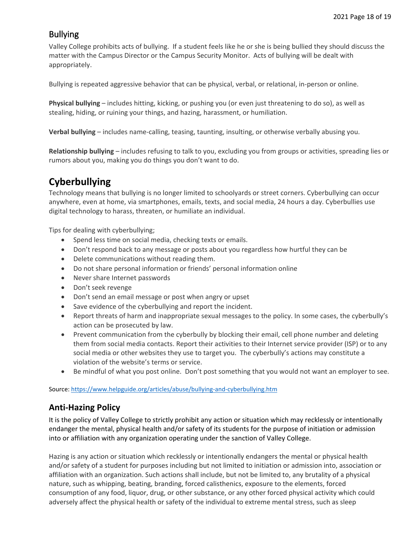# <span id="page-17-0"></span>Bullying

Valley College prohibits acts of bullying. If a student feels like he or she is being bullied they should discuss the matter with the Campus Director or the Campus Security Monitor. Acts of bullying will be dealt with appropriately.

Bullying is repeated aggressive behavior that can be physical, verbal, or relational, in-person or online.

**Physical bullying** – includes hitting, kicking, or pushing you (or even just threatening to do so), as well as stealing, hiding, or ruining your things, and hazing, harassment, or humiliation.

**Verbal bullying** – includes name-calling, teasing, taunting, insulting, or otherwise verbally abusing you.

**Relationship bullying** – includes refusing to talk to you, excluding you from groups or activities, spreading lies or rumors about you, making you do things you don't want to do.

# <span id="page-17-1"></span>**Cyberbullying**

Technology means that bullying is no longer limited to schoolyards or street corners. Cyberbullying can occur anywhere, even at home, via smartphones, emails, texts, and social media, 24 hours a day. Cyberbullies use digital technology to harass, threaten, or humiliate an individual.

Tips for dealing with cyberbullying;

- Spend less time on social media, checking texts or emails.
- Don't respond back to any message or posts about you regardless how hurtful they can be
- Delete communications without reading them.
- Do not share personal information or friends' personal information online
- Never share Internet passwords
- Don't seek revenge
- Don't send an email message or post when angry or upset
- Save evidence of the cyberbullying and report the incident.
- Report threats of harm and inappropriate sexual messages to the policy. In some cases, the cyberbully's action can be prosecuted by law.
- Prevent communication from the cyberbully by blocking their email, cell phone number and deleting them from social media contacts. Report their activities to their Internet service provider (ISP) or to any social media or other websites they use to target you. The cyberbully's actions may constitute a violation of the website's terms or service.
- Be mindful of what you post online. Don't post something that you would not want an employer to see.

Source: https://www.helpguide.org/articles/abuse/bullying-and-cyberbullying.htm

# <span id="page-17-2"></span>**Anti-Hazing Policy**

It is the policy of Valley College to strictly prohibit any action or situation which may recklessly or intentionally endanger the mental, physical health and/or safety of its students for the purpose of initiation or admission into or affiliation with any organization operating under the sanction of Valley College.

Hazing is any action or situation which recklessly or intentionally endangers the mental or physical health and/or safety of a student for purposes including but not limited to initiation or admission into, association or affiliation with an organization. Such actions shall include, but not be limited to, any brutality of a physical nature, such as whipping, beating, branding, forced calisthenics, exposure to the elements, forced consumption of any food, liquor, drug, or other substance, or any other forced physical activity which could adversely affect the physical health or safety of the individual to extreme mental stress, such as sleep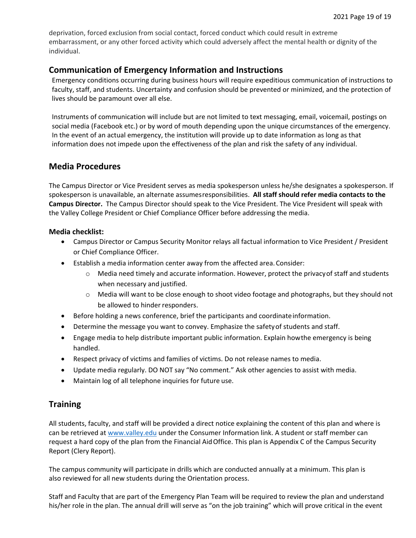deprivation, forced exclusion from social contact, forced conduct which could result in extreme embarrassment, or any other forced activity which could adversely affect the mental health or dignity of the individual.

## <span id="page-18-0"></span>**Communication of Emergency Information and Instructions**

Emergency conditions occurring during business hours will require expeditious communication of instructions to faculty, staff, and students. Uncertainty and confusion should be prevented or minimized, and the protection of lives should be paramount over all else.

Instruments of communication will include but are not limited to text messaging, email, voicemail, postings on social media (Facebook etc.) or by word of mouth depending upon the unique circumstances of the emergency. In the event of an actual emergency, the institution will provide up to date information as long as that information does not impede upon the effectiveness of the plan and risk the safety of any individual.

## <span id="page-18-1"></span>**Media Procedures**

The Campus Director or Vice President serves as media spokesperson unless he/she designates a spokesperson. If spokesperson is unavailable, an alternate assumesresponsibilities. **All staff should refer media contacts to the Campus Director.** The Campus Director should speak to the Vice President. The Vice President will speak with the Valley College President or Chief Compliance Officer before addressing the media.

#### **Media checklist:**

- Campus Director or Campus Security Monitor relays all factual information to Vice President / President or Chief Compliance Officer.
- Establish a media information center away from the affected area. Consider:
	- $\circ$  Media need timely and accurate information. However, protect the privacy of staff and students when necessary and justified.
	- o Media will want to be close enough to shoot video footage and photographs, but they should not be allowed to hinder responders.
- Before holding a news conference, brief the participants and coordinateinformation.
- Determine the message you want to convey. Emphasize the safetyof students and staff.
- Engage media to help distribute important public information. Explain howthe emergency is being handled.
- Respect privacy of victims and families of victims. Do not release names to media.
- Update media regularly. DO NOT say "No comment." Ask other agencies to assist with media.
- Maintain log of all telephone inquiries for future use.

## <span id="page-18-2"></span>**Training**

All students, faculty, and staff will be provided a direct notice explaining the content of this plan and where is can be retrieved at www.valley.edu under the Consumer Information link. A student or staff member can request a hard copy of the plan from the Financial AidOffice. This plan is Appendix C of the Campus Security Report (Clery Report).

The campus community will participate in drills which are conducted annually at a minimum. This plan is also reviewed for all new students during the Orientation process.

Staff and Faculty that are part of the Emergency Plan Team will be required to review the plan and understand his/her role in the plan. The annual drill will serve as "on the job training" which will prove critical in the event